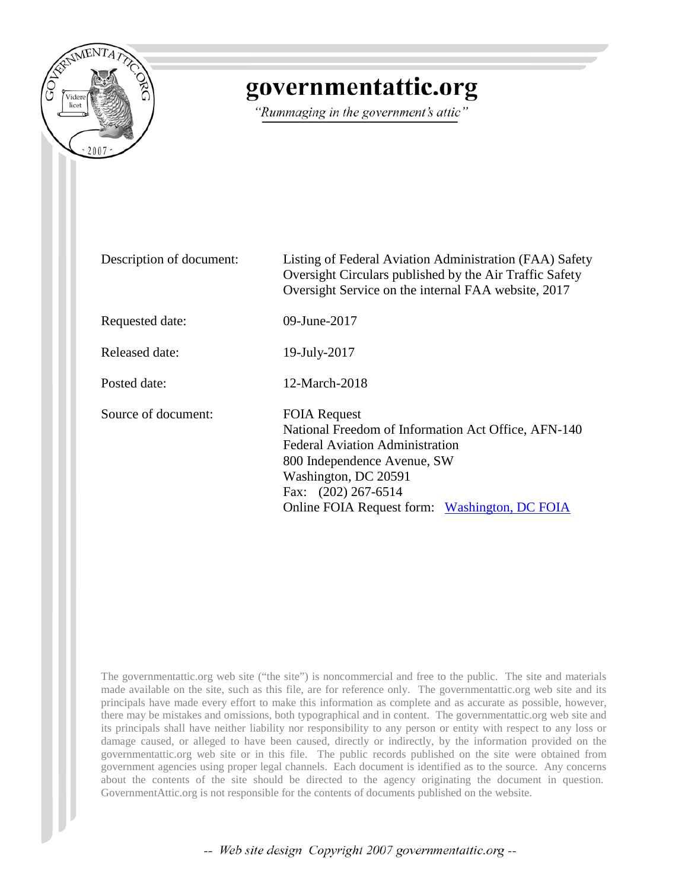

## governmentattic.org

"Rummaging in the government's attic"

Description of document: Listing of Federal Aviation Administration (FAA) Safety Oversight Circulars published by the Air Traffic Safety Oversight Service on the internal FAA website, 2017 Requested date: 09-June-2017 Released date: 19-July-2017 Posted date: 12-March-2018 Source of document: FOIA Request National Freedom of Information Act Office, AFN-140 Federal Aviation Administration 800 Independence Avenue, SW Washington, DC 20591 Fax: (202) 267-6514 Online FOIA Request form: [Washington, DC FOIA](https://www.faa.gov/foia/email_foia/index.cfm?region=hq)

The governmentattic.org web site ("the site") is noncommercial and free to the public. The site and materials made available on the site, such as this file, are for reference only. The governmentattic.org web site and its principals have made every effort to make this information as complete and as accurate as possible, however, there may be mistakes and omissions, both typographical and in content. The governmentattic.org web site and its principals shall have neither liability nor responsibility to any person or entity with respect to any loss or damage caused, or alleged to have been caused, directly or indirectly, by the information provided on the governmentattic.org web site or in this file. The public records published on the site were obtained from government agencies using proper legal channels. Each document is identified as to the source. Any concerns about the contents of the site should be directed to the agency originating the document in question. GovernmentAttic.org is not responsible for the contents of documents published on the website.

-- Web site design Copyright 2007 governmentattic.org --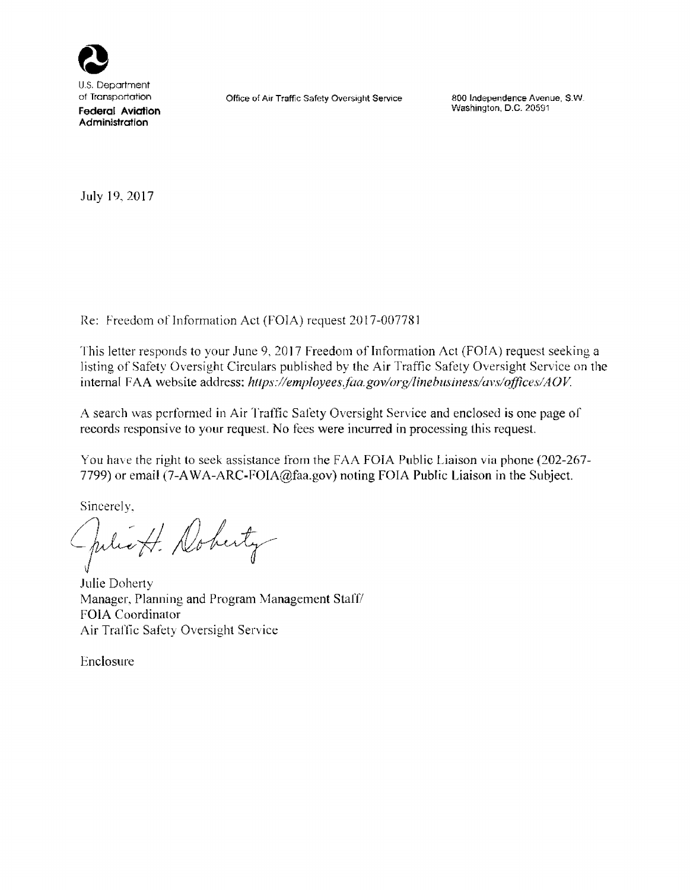

U.S. Department of Transportation **Federal Aviation Administration** 

Office of **Air** Traffic Safety Oversight Service

800 Independence Avenue, S.W. Washington, D.C. 20591

July 19, 2017

Re: Freedom of Information Act (FOIA) request 2017-007781

This letter responds to your June 9, 2017 Freedom of Information Act (FOIA) request seeking a listing of Safety Oversight Circulars published by the Air Traffic Safety Oversight Service on the internal FAA website address: https://employees.faa.gov/org/linebusiness/avs/offices/AOV.

A search was performed in Air Traffic Safety Oversight Service and enclosed is one page of records responsive to your request. No fees were incurred in processing this request.

You have the right to seek assistance from the FAA FOIA Public Liaison via phone (202-267- 7799) or email (7-A WA-ARC-FOIA@faa.gov) noting FOIA Public Liaison in the Subject.

Sincerely,

*~f)/)~* 

Julie Doherty Manager, Planning and Program Management Staff/ FOIA Coordinator Air Traffic Safety Oversight Service

Enclosure